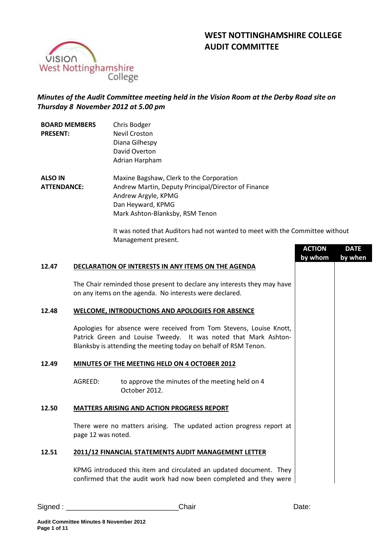# **WEST NOTTINGHAMSHIRE COLLEGE AUDIT COMMITTEE**



## *Minutes of the Audit Committee meeting held in the Vision Room at the Derby Road site on Thursday 8 November 2012 at 5.00 pm*

| <b>BOARD MEMBERS</b><br><b>PRESENT:</b> |                    | Chris Bodger<br><b>Nevil Croston</b><br>Diana Gilhespy<br>David Overton<br>Adrian Harpham                                                                                                                 |                          |                        |
|-----------------------------------------|--------------------|-----------------------------------------------------------------------------------------------------------------------------------------------------------------------------------------------------------|--------------------------|------------------------|
| <b>ALSO IN</b><br><b>ATTENDANCE:</b>    |                    | Maxine Bagshaw, Clerk to the Corporation<br>Andrew Martin, Deputy Principal/Director of Finance<br>Andrew Argyle, KPMG<br>Dan Heyward, KPMG<br>Mark Ashton-Blanksby, RSM Tenon                            |                          |                        |
|                                         |                    | It was noted that Auditors had not wanted to meet with the Committee without<br>Management present.                                                                                                       | <b>ACTION</b><br>by whom | <b>DATE</b><br>by when |
| 12.47                                   |                    | DECLARATION OF INTERESTS IN ANY ITEMS ON THE AGENDA                                                                                                                                                       |                          |                        |
|                                         |                    | The Chair reminded those present to declare any interests they may have<br>on any items on the agenda. No interests were declared.                                                                        |                          |                        |
| 12.48                                   |                    | WELCOME, INTRODUCTIONS AND APOLOGIES FOR ABSENCE                                                                                                                                                          |                          |                        |
|                                         |                    | Apologies for absence were received from Tom Stevens, Louise Knott,<br>Patrick Green and Louise Tweedy. It was noted that Mark Ashton-<br>Blanksby is attending the meeting today on behalf of RSM Tenon. |                          |                        |
| 12.49                                   |                    | MINUTES OF THE MEETING HELD ON 4 OCTOBER 2012                                                                                                                                                             |                          |                        |
|                                         | AGREED:            | to approve the minutes of the meeting held on 4<br>October 2012.                                                                                                                                          |                          |                        |
| 12.50                                   |                    | <b>MATTERS ARISING AND ACTION PROGRESS REPORT</b>                                                                                                                                                         |                          |                        |
|                                         | page 12 was noted. | There were no matters arising. The updated action progress report at                                                                                                                                      |                          |                        |
| 12.51                                   |                    | 2011/12 FINANCIAL STATEMENTS AUDIT MANAGEMENT LETTER                                                                                                                                                      |                          |                        |
|                                         |                    | KPMG introduced this item and circulated an updated document. They<br>confirmed that the audit work had now been completed and they were                                                                  |                          |                        |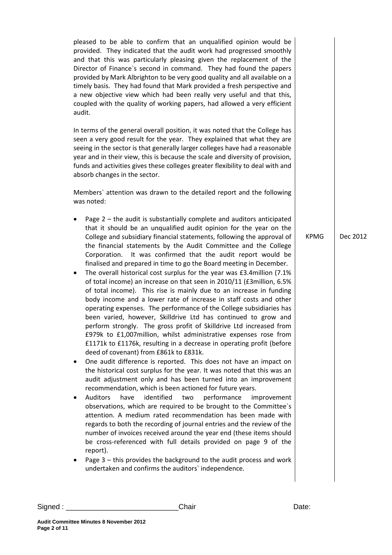pleased to be able to confirm that an unqualified opinion would be provided. They indicated that the audit work had progressed smoothly and that this was particularly pleasing given the replacement of the Director of Finance`s second in command. They had found the papers provided by Mark Albrighton to be very good quality and all available on a timely basis. They had found that Mark provided a fresh perspective and a new objective view which had been really very useful and that this, coupled with the quality of working papers, had allowed a very efficient audit.

In terms of the general overall position, it was noted that the College has seen a very good result for the year. They explained that what they are seeing in the sector is that generally larger colleges have had a reasonable year and in their view, this is because the scale and diversity of provision, funds and activities gives these colleges greater flexibility to deal with and absorb changes in the sector.

Members` attention was drawn to the detailed report and the following was noted:

- Page  $2$  the audit is substantially complete and auditors anticipated that it should be an unqualified audit opinion for the year on the College and subsidiary financial statements, following the approval of the financial statements by the Audit Committee and the College Corporation. It was confirmed that the audit report would be finalised and prepared in time to go the Board meeting in December.
- The overall historical cost surplus for the year was £3.4million (7.1% of total income) an increase on that seen in 2010/11 (£3million, 6.5% of total income). This rise is mainly due to an increase in funding body income and a lower rate of increase in staff costs and other operating expenses. The performance of the College subsidiaries has been varied, however, Skilldrive Ltd has continued to grow and perform strongly. The gross profit of Skilldrive Ltd increased from £979k to £1,007million, whilst administrative expenses rose from £1171k to £1176k, resulting in a decrease in operating profit (before deed of covenant) from £861k to £831k.
- One audit difference is reported. This does not have an impact on the historical cost surplus for the year. It was noted that this was an audit adjustment only and has been turned into an improvement recommendation, which is been actioned for future years.
- Auditors have identified two performance improvement observations, which are required to be brought to the Committee`s attention. A medium rated recommendation has been made with regards to both the recording of journal entries and the review of the number of invoices received around the year end (these items should be cross-referenced with full details provided on page 9 of the report).
- Page 3 this provides the background to the audit process and work undertaken and confirms the auditors` independence.

 $KPMG$  Dec 2012

Signed : \_\_\_\_\_\_\_\_\_\_\_\_\_\_\_\_\_\_\_\_\_\_\_\_\_\_\_\_Chair Date: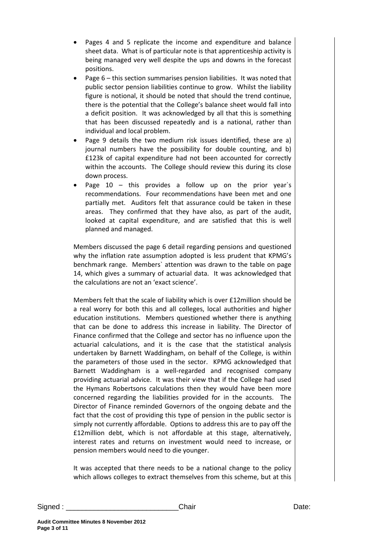- Pages 4 and 5 replicate the income and expenditure and balance sheet data. What is of particular note is that apprenticeship activity is being managed very well despite the ups and downs in the forecast positions.
- Page 6 this section summarises pension liabilities. It was noted that public sector pension liabilities continue to grow. Whilst the liability figure is notional, it should be noted that should the trend continue, there is the potential that the College's balance sheet would fall into a deficit position. It was acknowledged by all that this is something that has been discussed repeatedly and is a national, rather than individual and local problem.
- Page 9 details the two medium risk issues identified, these are a) journal numbers have the possibility for double counting, and b) £123k of capital expenditure had not been accounted for correctly within the accounts. The College should review this during its close down process.
- Page 10 this provides a follow up on the prior year's recommendations. Four recommendations have been met and one partially met. Auditors felt that assurance could be taken in these areas. They confirmed that they have also, as part of the audit, looked at capital expenditure, and are satisfied that this is well planned and managed.

Members discussed the page 6 detail regarding pensions and questioned why the inflation rate assumption adopted is less prudent that KPMG's benchmark range. Members` attention was drawn to the table on page 14, which gives a summary of actuarial data. It was acknowledged that the calculations are not an 'exact science'.

Members felt that the scale of liability which is over £12million should be a real worry for both this and all colleges, local authorities and higher education institutions. Members questioned whether there is anything that can be done to address this increase in liability. The Director of Finance confirmed that the College and sector has no influence upon the actuarial calculations, and it is the case that the statistical analysis undertaken by Barnett Waddingham, on behalf of the College, is within the parameters of those used in the sector. KPMG acknowledged that Barnett Waddingham is a well-regarded and recognised company providing actuarial advice. It was their view that if the College had used the Hymans Robertsons calculations then they would have been more concerned regarding the liabilities provided for in the accounts. The Director of Finance reminded Governors of the ongoing debate and the fact that the cost of providing this type of pension in the public sector is simply not currently affordable. Options to address this are to pay off the £12million debt, which is not affordable at this stage, alternatively, interest rates and returns on investment would need to increase, or pension members would need to die younger.

It was accepted that there needs to be a national change to the policy which allows colleges to extract themselves from this scheme, but at this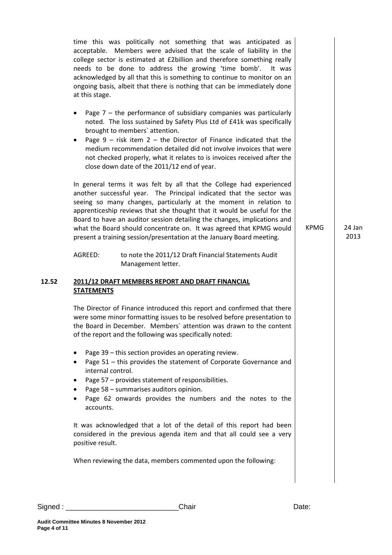time this was politically not something that was anticipated as acceptable. Members were advised that the scale of liability in the college sector is estimated at £2billion and therefore something really needs to be done to address the growing 'time bomb'. It was acknowledged by all that this is something to continue to monitor on an ongoing basis, albeit that there is nothing that can be immediately done at this stage.

- Page  $7$  the performance of subsidiary companies was particularly noted. The loss sustained by Safety Plus Ltd of £41k was specifically brought to members` attention.
- Page  $9$  risk item  $2$  the Director of Finance indicated that the medium recommendation detailed did not involve invoices that were not checked properly, what it relates to is invoices received after the close down date of the 2011/12 end of year.

In general terms it was felt by all that the College had experienced another successful year. The Principal indicated that the sector was seeing so many changes, particularly at the moment in relation to apprenticeship reviews that she thought that it would be useful for the Board to have an auditor session detailing the changes, implications and what the Board should concentrate on. It was agreed that KPMG would present a training session/presentation at the January Board meeting.

AGREED: to note the 2011/12 Draft Financial Statements Audit Management letter.

## **12.52 2011/12 DRAFT MEMBERS REPORT AND DRAFT FINANCIAL STATEMENTS**

The Director of Finance introduced this report and confirmed that there were some minor formatting issues to be resolved before presentation to the Board in December. Members` attention was drawn to the content of the report and the following was specifically noted:

- Page 39 this section provides an operating review.
- Page 51 this provides the statement of Corporate Governance and internal control.
- Page 57 provides statement of responsibilities.
- Page 58 summarises auditors opinion.
- Page 62 onwards provides the numbers and the notes to the accounts.

It was acknowledged that a lot of the detail of this report had been considered in the previous agenda item and that all could see a very positive result.

When reviewing the data, members commented upon the following:

**Page 4 of 11**

**Audit Committee Minutes 8 November 2012**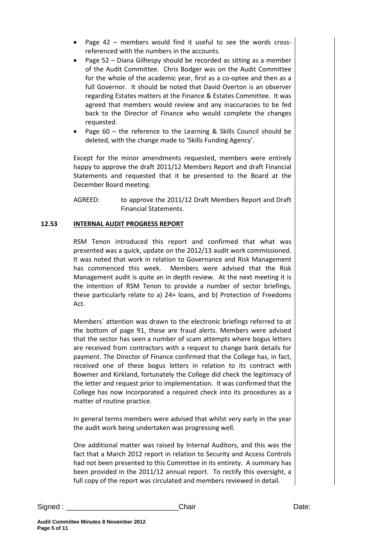- Page 42 members would find it useful to see the words crossreferenced with the numbers in the accounts.
- Page 52 Diana Gilhespy should be recorded as sitting as a member of the Audit Committee. Chris Bodger was on the Audit Committee for the whole of the academic year, first as a co-optee and then as a full Governor. It should be noted that David Overton is an observer regarding Estates matters at the Finance & Estates Committee. It was agreed that members would review and any inaccuracies to be fed back to the Director of Finance who would complete the changes requested.
- Page  $60$  the reference to the Learning & Skills Council should be deleted, with the change made to 'Skills Funding Agency'.

Except for the minor amendments requested, members were entirely happy to approve the draft 2011/12 Members Report and draft Financial Statements and requested that it be presented to the Board at the December Board meeting.

AGREED: to approve the 2011/12 Draft Members Report and Draft Financial Statements.

## **12.53 INTERNAL AUDIT PROGRESS REPORT**

RSM Tenon introduced this report and confirmed that what was presented was a quick, update on the 2012/13 audit work commissioned. It was noted that work in relation to Governance and Risk Management has commenced this week. Members were advised that the Risk Management audit is quite an in depth review. At the next meeting it is the intention of RSM Tenon to provide a number of sector briefings, these particularly relate to a) 24+ loans, and b) Protection of Freedoms Act.

Members` attention was drawn to the electronic briefings referred to at the bottom of page 91, these are fraud alerts. Members were advised that the sector has seen a number of scam attempts where bogus letters are received from contractors with a request to change bank details for payment. The Director of Finance confirmed that the College has, in fact, received one of these bogus letters in relation to its contract with Bowmer and Kirkland, fortunately the College did check the legitimacy of the letter and request prior to implementation. It was confirmed that the College has now incorporated a required check into its procedures as a matter of routine practice.

In general terms members were advised that whilst very early in the year the audit work being undertaken was progressing well.

One additional matter was raised by Internal Auditors, and this was the fact that a March 2012 report in relation to Security and Access Controls had not been presented to this Committee in its entirety. A summary has been provided in the 2011/12 annual report. To rectify this oversight, a full copy of the report was circulated and members reviewed in detail.

**Page 5 of 11**

**Audit Committee Minutes 8 November 2012**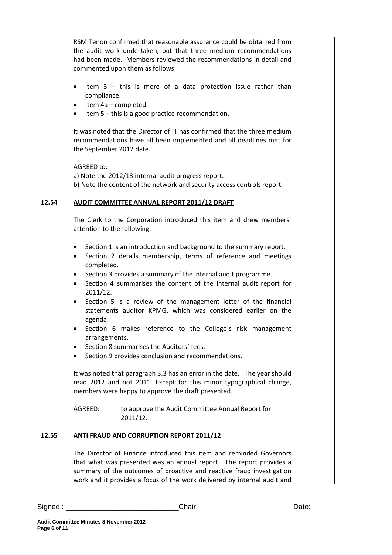RSM Tenon confirmed that reasonable assurance could be obtained from the audit work undertaken, but that three medium recommendations had been made. Members reviewed the recommendations in detail and commented upon them as follows:

- Item  $3$  this is more of a data protection issue rather than compliance.
- Item 4a completed.
- Item 5 this is a good practice recommendation.

It was noted that the Director of IT has confirmed that the three medium recommendations have all been implemented and all deadlines met for the September 2012 date.

AGREED to:

a) Note the 2012/13 internal audit progress report. b) Note the content of the network and security access controls report.

## **12.54 AUDIT COMMITTEE ANNUAL REPORT 2011/12 DRAFT**

The Clerk to the Corporation introduced this item and drew members` attention to the following:

- Section 1 is an introduction and background to the summary report.
- Section 2 details membership, terms of reference and meetings completed.
- Section 3 provides a summary of the internal audit programme.
- Section 4 summarises the content of the internal audit report for 2011/12.
- Section 5 is a review of the management letter of the financial statements auditor KPMG, which was considered earlier on the agenda.
- Section 6 makes reference to the College`s risk management arrangements.
- Section 8 summarises the Auditors` fees.
- Section 9 provides conclusion and recommendations.

It was noted that paragraph 3.3 has an error in the date. The year should read 2012 and not 2011. Except for this minor typographical change, members were happy to approve the draft presented.

AGREED: to approve the Audit Committee Annual Report for 2011/12.

## **12.55 ANTI FRAUD AND CORRUPTION REPORT 2011/12**

The Director of Finance introduced this item and reminded Governors that what was presented was an annual report. The report provides a summary of the outcomes of proactive and reactive fraud investigation work and it provides a focus of the work delivered by internal audit and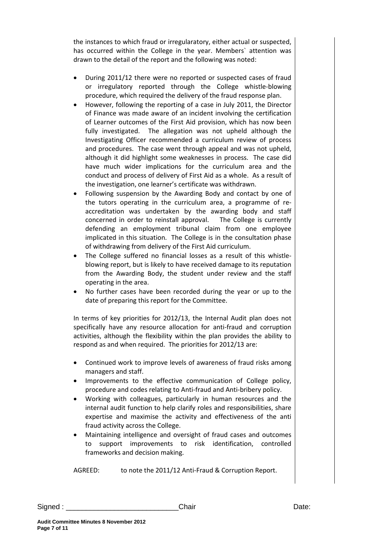the instances to which fraud or irregularatory, either actual or suspected, has occurred within the College in the year. Members` attention was drawn to the detail of the report and the following was noted:

- During 2011/12 there were no reported or suspected cases of fraud or irregulatory reported through the College whistle-blowing procedure, which required the delivery of the fraud response plan.
- However, following the reporting of a case in July 2011, the Director of Finance was made aware of an incident involving the certification of Learner outcomes of the First Aid provision, which has now been fully investigated. The allegation was not upheld although the Investigating Officer recommended a curriculum review of process and procedures. The case went through appeal and was not upheld, although it did highlight some weaknesses in process. The case did have much wider implications for the curriculum area and the conduct and process of delivery of First Aid as a whole. As a result of the investigation, one learner's certificate was withdrawn.
- Following suspension by the Awarding Body and contact by one of the tutors operating in the curriculum area, a programme of reaccreditation was undertaken by the awarding body and staff concerned in order to reinstall approval. The College is currently defending an employment tribunal claim from one employee implicated in this situation. The College is in the consultation phase of withdrawing from delivery of the First Aid curriculum.
- The College suffered no financial losses as a result of this whistleblowing report, but is likely to have received damage to its reputation from the Awarding Body, the student under review and the staff operating in the area.
- No further cases have been recorded during the year or up to the date of preparing this report for the Committee.

In terms of key priorities for 2012/13, the Internal Audit plan does not specifically have any resource allocation for anti-fraud and corruption activities, although the flexibility within the plan provides the ability to respond as and when required. The priorities for 2012/13 are:

- Continued work to improve levels of awareness of fraud risks among managers and staff.
- Improvements to the effective communication of College policy, procedure and codes relating to Anti-fraud and Anti-bribery policy.
- Working with colleagues, particularly in human resources and the internal audit function to help clarify roles and responsibilities, share expertise and maximise the activity and effectiveness of the anti fraud activity across the College.
- Maintaining intelligence and oversight of fraud cases and outcomes to support improvements to risk identification, controlled frameworks and decision making.

AGREED: to note the 2011/12 Anti-Fraud & Corruption Report.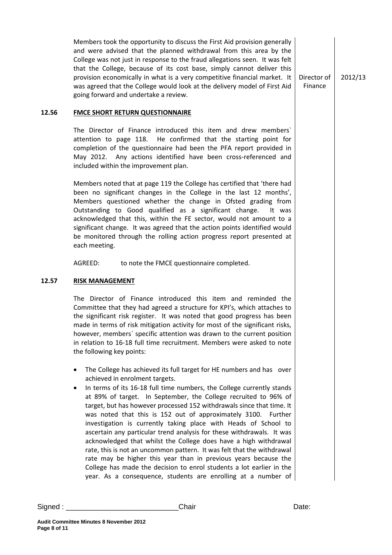Members took the opportunity to discuss the First Aid provision generally and were advised that the planned withdrawal from this area by the College was not just in response to the fraud allegations seen. It was felt that the College, because of its cost base, simply cannot deliver this provision economically in what is a very competitive financial market. It was agreed that the College would look at the delivery model of First Aid going forward and undertake a review.

Director of Finance 2012/13

#### **12.56 FMCE SHORT RETURN QUESTIONNAIRE**

The Director of Finance introduced this item and drew members` attention to page 118. He confirmed that the starting point for completion of the questionnaire had been the PFA report provided in May 2012. Any actions identified have been cross-referenced and included within the improvement plan.

Members noted that at page 119 the College has certified that 'there had been no significant changes in the College in the last 12 months', Members questioned whether the change in Ofsted grading from Outstanding to Good qualified as a significant change. It was acknowledged that this, within the FE sector, would not amount to a significant change. It was agreed that the action points identified would be monitored through the rolling action progress report presented at each meeting.

AGREED: to note the FMCE questionnaire completed.

#### **12.57 RISK MANAGEMENT**

The Director of Finance introduced this item and reminded the Committee that they had agreed a structure for KPI's, which attaches to the significant risk register. It was noted that good progress has been made in terms of risk mitigation activity for most of the significant risks, however, members` specific attention was drawn to the current position in relation to 16-18 full time recruitment. Members were asked to note the following key points:

- The College has achieved its full target for HE numbers and has over achieved in enrolment targets.
- In terms of its 16-18 full time numbers, the College currently stands at 89% of target. In September, the College recruited to 96% of target, but has however processed 152 withdrawals since that time. It was noted that this is 152 out of approximately 3100. Further investigation is currently taking place with Heads of School to ascertain any particular trend analysis for these withdrawals. It was acknowledged that whilst the College does have a high withdrawal rate, this is not an uncommon pattern. It was felt that the withdrawal rate may be higher this year than in previous years because the College has made the decision to enrol students a lot earlier in the year. As a consequence, students are enrolling at a number of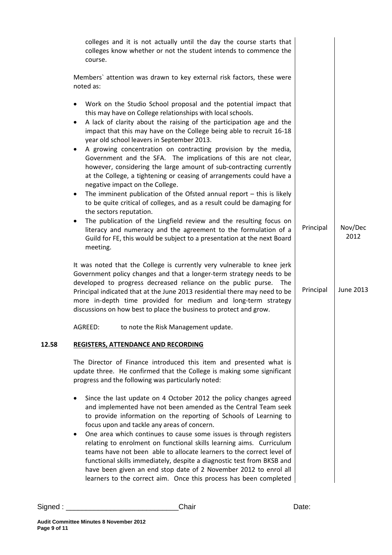| colleges and it is not actually until the day the course starts that<br>colleges know whether or not the student intends to commence the<br>course.<br>Members' attention was drawn to key external risk factors, these were<br>noted as:<br>Work on the Studio School proposal and the potential impact that<br>٠<br>this may have on College relationships with local schools.<br>A lack of clarity about the raising of the participation age and the<br>$\bullet$<br>impact that this may have on the College being able to recruit 16-18<br>year old school leavers in September 2013.<br>A growing concentration on contracting provision by the media,<br>٠<br>Government and the SFA. The implications of this are not clear,<br>however, considering the large amount of sub-contracting currently<br>at the College, a tightening or ceasing of arrangements could have a<br>negative impact on the College.<br>The imminent publication of the Ofsted annual report $-$ this is likely<br>٠<br>to be quite critical of colleges, and as a result could be damaging for<br>the sectors reputation.<br>The publication of the Lingfield review and the resulting focus on<br>$\bullet$<br>Nov/Dec<br>Principal<br>literacy and numeracy and the agreement to the formulation of a<br>2012<br>Guild for FE, this would be subject to a presentation at the next Board<br>meeting.<br>It was noted that the College is currently very vulnerable to knee jerk<br>Government policy changes and that a longer-term strategy needs to be<br>developed to progress decreased reliance on the public purse. The<br><b>June 2013</b><br>Principal<br>Principal indicated that at the June 2013 residential there may need to be<br>more in-depth time provided for medium and long-term strategy<br>discussions on how best to place the business to protect and grow.<br>AGREED:<br>to note the Risk Management update.<br><b>REGISTERS, ATTENDANCE AND RECORDING</b><br>The Director of Finance introduced this item and presented what is<br>update three. He confirmed that the College is making some significant<br>progress and the following was particularly noted:<br>Since the last update on 4 October 2012 the policy changes agreed<br>and implemented have not been amended as the Central Team seek<br>to provide information on the reporting of Schools of Learning to<br>focus upon and tackle any areas of concern.<br>One area which continues to cause some issues is through registers<br>relating to enrolment on functional skills learning aims. Curriculum<br>teams have not been able to allocate learners to the correct level of<br>functional skills immediately, despite a diagnostic test from BKSB and<br>have been given an end stop date of 2 November 2012 to enrol all<br>learners to the correct aim. Once this process has been completed |       |  |  |
|-------------------------------------------------------------------------------------------------------------------------------------------------------------------------------------------------------------------------------------------------------------------------------------------------------------------------------------------------------------------------------------------------------------------------------------------------------------------------------------------------------------------------------------------------------------------------------------------------------------------------------------------------------------------------------------------------------------------------------------------------------------------------------------------------------------------------------------------------------------------------------------------------------------------------------------------------------------------------------------------------------------------------------------------------------------------------------------------------------------------------------------------------------------------------------------------------------------------------------------------------------------------------------------------------------------------------------------------------------------------------------------------------------------------------------------------------------------------------------------------------------------------------------------------------------------------------------------------------------------------------------------------------------------------------------------------------------------------------------------------------------------------------------------------------------------------------------------------------------------------------------------------------------------------------------------------------------------------------------------------------------------------------------------------------------------------------------------------------------------------------------------------------------------------------------------------------------------------------------------------------------------------------------------------------------------------------------------------------------------------------------------------------------------------------------------------------------------------------------------------------------------------------------------------------------------------------------------------------------------------------------------------------------------------------------------------------------------------------------------------------------------------------------------------------------------------------------------------------------------------------------------|-------|--|--|
|                                                                                                                                                                                                                                                                                                                                                                                                                                                                                                                                                                                                                                                                                                                                                                                                                                                                                                                                                                                                                                                                                                                                                                                                                                                                                                                                                                                                                                                                                                                                                                                                                                                                                                                                                                                                                                                                                                                                                                                                                                                                                                                                                                                                                                                                                                                                                                                                                                                                                                                                                                                                                                                                                                                                                                                                                                                                                     |       |  |  |
|                                                                                                                                                                                                                                                                                                                                                                                                                                                                                                                                                                                                                                                                                                                                                                                                                                                                                                                                                                                                                                                                                                                                                                                                                                                                                                                                                                                                                                                                                                                                                                                                                                                                                                                                                                                                                                                                                                                                                                                                                                                                                                                                                                                                                                                                                                                                                                                                                                                                                                                                                                                                                                                                                                                                                                                                                                                                                     |       |  |  |
|                                                                                                                                                                                                                                                                                                                                                                                                                                                                                                                                                                                                                                                                                                                                                                                                                                                                                                                                                                                                                                                                                                                                                                                                                                                                                                                                                                                                                                                                                                                                                                                                                                                                                                                                                                                                                                                                                                                                                                                                                                                                                                                                                                                                                                                                                                                                                                                                                                                                                                                                                                                                                                                                                                                                                                                                                                                                                     |       |  |  |
|                                                                                                                                                                                                                                                                                                                                                                                                                                                                                                                                                                                                                                                                                                                                                                                                                                                                                                                                                                                                                                                                                                                                                                                                                                                                                                                                                                                                                                                                                                                                                                                                                                                                                                                                                                                                                                                                                                                                                                                                                                                                                                                                                                                                                                                                                                                                                                                                                                                                                                                                                                                                                                                                                                                                                                                                                                                                                     |       |  |  |
|                                                                                                                                                                                                                                                                                                                                                                                                                                                                                                                                                                                                                                                                                                                                                                                                                                                                                                                                                                                                                                                                                                                                                                                                                                                                                                                                                                                                                                                                                                                                                                                                                                                                                                                                                                                                                                                                                                                                                                                                                                                                                                                                                                                                                                                                                                                                                                                                                                                                                                                                                                                                                                                                                                                                                                                                                                                                                     |       |  |  |
|                                                                                                                                                                                                                                                                                                                                                                                                                                                                                                                                                                                                                                                                                                                                                                                                                                                                                                                                                                                                                                                                                                                                                                                                                                                                                                                                                                                                                                                                                                                                                                                                                                                                                                                                                                                                                                                                                                                                                                                                                                                                                                                                                                                                                                                                                                                                                                                                                                                                                                                                                                                                                                                                                                                                                                                                                                                                                     | 12.58 |  |  |
|                                                                                                                                                                                                                                                                                                                                                                                                                                                                                                                                                                                                                                                                                                                                                                                                                                                                                                                                                                                                                                                                                                                                                                                                                                                                                                                                                                                                                                                                                                                                                                                                                                                                                                                                                                                                                                                                                                                                                                                                                                                                                                                                                                                                                                                                                                                                                                                                                                                                                                                                                                                                                                                                                                                                                                                                                                                                                     |       |  |  |
|                                                                                                                                                                                                                                                                                                                                                                                                                                                                                                                                                                                                                                                                                                                                                                                                                                                                                                                                                                                                                                                                                                                                                                                                                                                                                                                                                                                                                                                                                                                                                                                                                                                                                                                                                                                                                                                                                                                                                                                                                                                                                                                                                                                                                                                                                                                                                                                                                                                                                                                                                                                                                                                                                                                                                                                                                                                                                     |       |  |  |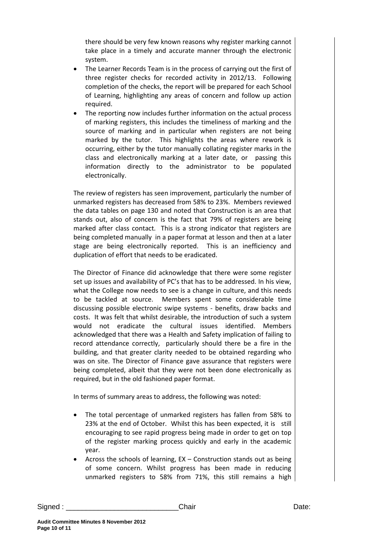there should be very few known reasons why register marking cannot take place in a timely and accurate manner through the electronic system.

- The Learner Records Team is in the process of carrying out the first of three register checks for recorded activity in 2012/13. Following completion of the checks, the report will be prepared for each School of Learning, highlighting any areas of concern and follow up action required.
- The reporting now includes further information on the actual process of marking registers, this includes the timeliness of marking and the source of marking and in particular when registers are not being marked by the tutor. This highlights the areas where rework is occurring, either by the tutor manually collating register marks in the class and electronically marking at a later date, or passing this information directly to the administrator to be populated electronically.

The review of registers has seen improvement, particularly the number of unmarked registers has decreased from 58% to 23%. Members reviewed the data tables on page 130 and noted that Construction is an area that stands out, also of concern is the fact that 79% of registers are being marked after class contact. This is a strong indicator that registers are being completed manually in a paper format at lesson and then at a later stage are being electronically reported. This is an inefficiency and duplication of effort that needs to be eradicated.

The Director of Finance did acknowledge that there were some register set up issues and availability of PC's that has to be addressed. In his view, what the College now needs to see is a change in culture, and this needs to be tackled at source. Members spent some considerable time discussing possible electronic swipe systems - benefits, draw backs and costs. It was felt that whilst desirable, the introduction of such a system would not eradicate the cultural issues identified. Members acknowledged that there was a Health and Safety implication of failing to record attendance correctly, particularly should there be a fire in the building, and that greater clarity needed to be obtained regarding who was on site. The Director of Finance gave assurance that registers were being completed, albeit that they were not been done electronically as required, but in the old fashioned paper format.

In terms of summary areas to address, the following was noted:

- The total percentage of unmarked registers has fallen from 58% to 23% at the end of October. Whilst this has been expected, it is still encouraging to see rapid progress being made in order to get on top of the register marking process quickly and early in the academic year.
- Across the schools of learning,  $EX -$  Construction stands out as being of some concern. Whilst progress has been made in reducing unmarked registers to 58% from 71%, this still remains a high

Signed : \_\_\_\_\_\_\_\_\_\_\_\_\_\_\_\_\_\_\_\_\_\_\_\_\_\_\_\_Chair Date: